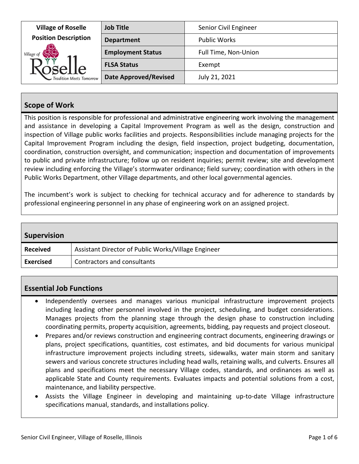| <b>Village of Roselle</b><br><b>Position Description</b><br>Village of<br>$\text{KoseLle}_{\text{Tradition Meets Tomorrow}}$ | <b>Job Title</b>             | Senior Civil Engineer |
|------------------------------------------------------------------------------------------------------------------------------|------------------------------|-----------------------|
|                                                                                                                              | <b>Department</b>            | <b>Public Works</b>   |
|                                                                                                                              | <b>Employment Status</b>     | Full Time, Non-Union  |
|                                                                                                                              | <b>FLSA Status</b>           | Exempt                |
|                                                                                                                              | <b>Date Approved/Revised</b> | July 21, 2021         |

## **Scope of Work**

This position is responsible for professional and administrative engineering work involving the management and assistance in developing a Capital Improvement Program as well as the design, construction and inspection of Village public works facilities and projects. Responsibilities include managing projects for the Capital Improvement Program including the design, field inspection, project budgeting, documentation, coordination, construction oversight, and communication; inspection and documentation of improvements to public and private infrastructure; follow up on resident inquiries; permit review; site and development review including enforcing the Village's stormwater ordinance; field survey; coordination with others in the Public Works Department, other Village departments, and other local governmental agencies.

The incumbent's work is subject to checking for technical accuracy and for adherence to standards by professional engineering personnel in any phase of engineering work on an assigned project.

| <b>Supervision</b> |                                                     |
|--------------------|-----------------------------------------------------|
| <b>Received</b>    | Assistant Director of Public Works/Village Engineer |
| <b>Exercised</b>   | Contractors and consultants                         |

### **Essential Job Functions**

- Independently oversees and manages various municipal infrastructure improvement projects including leading other personnel involved in the project, scheduling, and budget considerations. Manages projects from the planning stage through the design phase to construction including coordinating permits, property acquisition, agreements, bidding, pay requests and project closeout.
- Prepares and/or reviews construction and engineering contract documents, engineering drawings or plans, project specifications, quantities, cost estimates, and bid documents for various municipal infrastructure improvement projects including streets, sidewalks, water main storm and sanitary sewers and various concrete structures including head walls, retaining walls, and culverts. Ensures all plans and specifications meet the necessary Village codes, standards, and ordinances as well as applicable State and County requirements. Evaluates impacts and potential solutions from a cost, maintenance, and liability perspective.
- Assists the Village Engineer in developing and maintaining up‐to‐date Village infrastructure specifications manual, standards, and installations policy.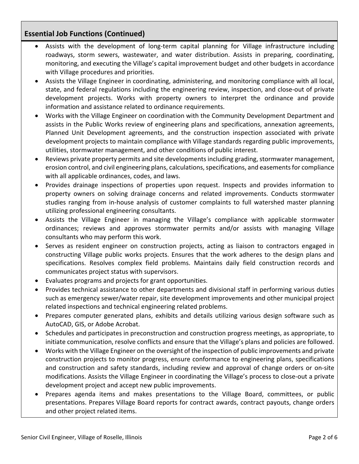## **Essential Job Functions (Continued)**

- Assists with the development of long‐term capital planning for Village infrastructure including roadways, storm sewers, wastewater, and water distribution. Assists in preparing, coordinating, monitoring, and executing the Village's capital improvement budget and other budgets in accordance with Village procedures and priorities.
- Assists the Village Engineer in coordinating, administering, and monitoring compliance with all local, state, and federal regulations including the engineering review, inspection, and close‐out of private development projects. Works with property owners to interpret the ordinance and provide information and assistance related to ordinance requirements.
- Works with the Village Engineer on coordination with the Community Development Department and assists in the Public Works review of engineering plans and specifications, annexation agreements, Planned Unit Development agreements, and the construction inspection associated with private development projects to maintain compliance with Village standards regarding public improvements, utilities, stormwater management, and other conditions of public interest.
- Reviews private property permits and site developments including grading, stormwater management, erosion control, and civil engineering plans, calculations, specifications, and easements for compliance with all applicable ordinances, codes, and laws.
- Provides drainage inspections of properties upon request. Inspects and provides information to property owners on solving drainage concerns and related improvements. Conducts stormwater studies ranging from in‐house analysis of customer complaints to full watershed master planning utilizing professional engineering consultants.
- Assists the Village Engineer in managing the Village's compliance with applicable stormwater ordinances; reviews and approves stormwater permits and/or assists with managing Village consultants who may perform this work.
- Serves as resident engineer on construction projects, acting as liaison to contractors engaged in constructing Village public works projects. Ensures that the work adheres to the design plans and specifications. Resolves complex field problems. Maintains daily field construction records and communicates project status with supervisors.
- Evaluates programs and projects for grant opportunities.
- Provides technical assistance to other departments and divisional staff in performing various duties such as emergency sewer/water repair, site development improvements and other municipal project related inspections and technical engineering related problems.
- Prepares computer generated plans, exhibits and details utilizing various design software such as AutoCAD, GIS, or Adobe Acrobat.
- Schedules and participates in preconstruction and construction progress meetings, as appropriate, to initiate communication, resolve conflicts and ensure that the Village's plans and policies are followed.
- Works with the Village Engineer on the oversight of the inspection of public improvements and private construction projects to monitor progress, ensure conformance to engineering plans, specifications and construction and safety standards, including review and approval of change orders or on‐site modifications. Assists the Village Engineer in coordinating the Village's process to close‐out a private development project and accept new public improvements.
- Prepares agenda items and makes presentations to the Village Board, committees, or public presentations. Prepares Village Board reports for contract awards, contract payouts, change orders and other project related items.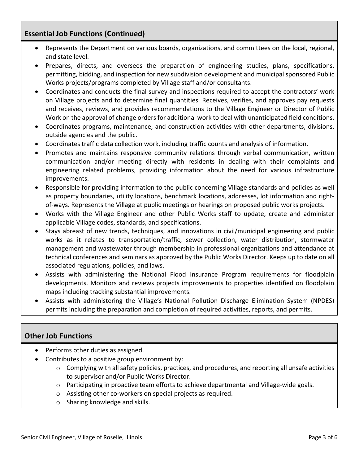### **Essential Job Functions (Continued)**

- Represents the Department on various boards, organizations, and committees on the local, regional, and state level.
- Prepares, directs, and oversees the preparation of engineering studies, plans, specifications, permitting, bidding, and inspection for new subdivision development and municipal sponsored Public Works projects/programs completed by Village staff and/or consultants.
- Coordinates and conducts the final survey and inspections required to accept the contractors' work on Village projects and to determine final quantities. Receives, verifies, and approves pay requests and receives, reviews, and provides recommendations to the Village Engineer or Director of Public Work on the approval of change orders for additional work to deal with unanticipated field conditions.
- Coordinates programs, maintenance, and construction activities with other departments, divisions, outside agencies and the public.
- Coordinates traffic data collection work, including traffic counts and analysis of information.
- Promotes and maintains responsive community relations through verbal communication, written communication and/or meeting directly with residents in dealing with their complaints and engineering related problems, providing information about the need for various infrastructure improvements.
- Responsible for providing information to the public concerning Village standards and policies as well as property boundaries, utility locations, benchmark locations, addresses, lot information and right‐ of‐ways. Represents the Village at public meetings or hearings on proposed public works projects.
- Works with the Village Engineer and other Public Works staff to update, create and administer applicable Village codes, standards, and specifications.
- Stays abreast of new trends, techniques, and innovations in civil/municipal engineering and public works as it relates to transportation/traffic, sewer collection, water distribution, stormwater management and wastewater through membership in professional organizations and attendance at technical conferences and seminars as approved by the Public Works Director. Keeps up to date on all associated regulations, policies, and laws.
- Assists with administering the National Flood Insurance Program requirements for floodplain developments. Monitors and reviews projects improvements to properties identified on floodplain maps including tracking substantial improvements.
- Assists with administering the Village's National Pollution Discharge Elimination System (NPDES) permits including the preparation and completion of required activities, reports, and permits.

# **Other Job Functions**

- Performs other duties as assigned.
- Contributes to a positive group environment by:
	- $\circ$  Complying with all safety policies, practices, and procedures, and reporting all unsafe activities to supervisor and/or Public Works Director.
	- o Participating in proactive team efforts to achieve departmental and Village‐wide goals.
	- o Assisting other co‐workers on special projects as required.
	- o Sharing knowledge and skills.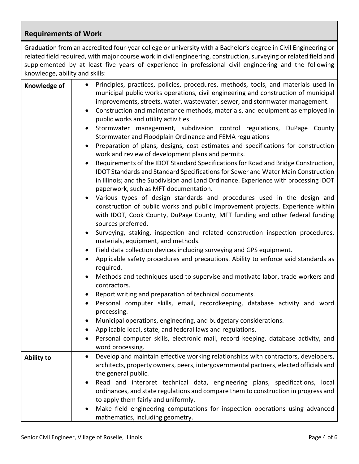# **Requirements of Work**

Graduation from an accredited four‐year college or university with a Bachelor's degree in Civil Engineering or related field required, with major course work in civil engineering, construction, surveying or related field and supplemented by at least five years of experience in professional civil engineering and the following knowledge, ability and skills:

| Knowledge of      | Principles, practices, policies, procedures, methods, tools, and materials used in<br>$\bullet$<br>municipal public works operations, civil engineering and construction of municipal<br>improvements, streets, water, wastewater, sewer, and stormwater management.<br>Construction and maintenance methods, materials, and equipment as employed in<br>$\bullet$<br>public works and utility activities.<br>Stormwater management, subdivision control regulations, DuPage County<br>$\bullet$<br>Stormwater and Floodplain Ordinance and FEMA regulations |
|-------------------|--------------------------------------------------------------------------------------------------------------------------------------------------------------------------------------------------------------------------------------------------------------------------------------------------------------------------------------------------------------------------------------------------------------------------------------------------------------------------------------------------------------------------------------------------------------|
|                   | Preparation of plans, designs, cost estimates and specifications for construction<br>$\bullet$<br>work and review of development plans and permits.                                                                                                                                                                                                                                                                                                                                                                                                          |
|                   | Requirements of the IDOT Standard Specifications for Road and Bridge Construction,<br>$\bullet$<br>IDOT Standards and Standard Specifications for Sewer and Water Main Construction<br>in Illinois; and the Subdivision and Land Ordinance. Experience with processing IDOT<br>paperwork, such as MFT documentation.                                                                                                                                                                                                                                         |
|                   | Various types of design standards and procedures used in the design and<br>construction of public works and public improvement projects. Experience within<br>with IDOT, Cook County, DuPage County, MFT funding and other federal funding<br>sources preferred.                                                                                                                                                                                                                                                                                             |
|                   | Surveying, staking, inspection and related construction inspection procedures,<br>$\bullet$<br>materials, equipment, and methods.                                                                                                                                                                                                                                                                                                                                                                                                                            |
|                   | Field data collection devices including surveying and GPS equipment.<br>$\bullet$                                                                                                                                                                                                                                                                                                                                                                                                                                                                            |
|                   | Applicable safety procedures and precautions. Ability to enforce said standards as<br>$\bullet$<br>required.                                                                                                                                                                                                                                                                                                                                                                                                                                                 |
|                   | Methods and techniques used to supervise and motivate labor, trade workers and<br>$\bullet$<br>contractors.                                                                                                                                                                                                                                                                                                                                                                                                                                                  |
|                   | Report writing and preparation of technical documents.<br>$\bullet$                                                                                                                                                                                                                                                                                                                                                                                                                                                                                          |
|                   | Personal computer skills, email, recordkeeping, database activity and word<br>processing.                                                                                                                                                                                                                                                                                                                                                                                                                                                                    |
|                   | Municipal operations, engineering, and budgetary considerations.<br>$\bullet$                                                                                                                                                                                                                                                                                                                                                                                                                                                                                |
|                   | Applicable local, state, and federal laws and regulations.<br>$\bullet$                                                                                                                                                                                                                                                                                                                                                                                                                                                                                      |
|                   | Personal computer skills, electronic mail, record keeping, database activity, and<br>word processing.                                                                                                                                                                                                                                                                                                                                                                                                                                                        |
| <b>Ability to</b> | Develop and maintain effective working relationships with contractors, developers,<br>$\bullet$<br>architects, property owners, peers, intergovernmental partners, elected officials and<br>the general public.                                                                                                                                                                                                                                                                                                                                              |
|                   | Read and interpret technical data, engineering plans, specifications, local<br>$\bullet$<br>ordinances, and state regulations and compare them to construction in progress and<br>to apply them fairly and uniformly.                                                                                                                                                                                                                                                                                                                                        |
|                   | Make field engineering computations for inspection operations using advanced<br>mathematics, including geometry.                                                                                                                                                                                                                                                                                                                                                                                                                                             |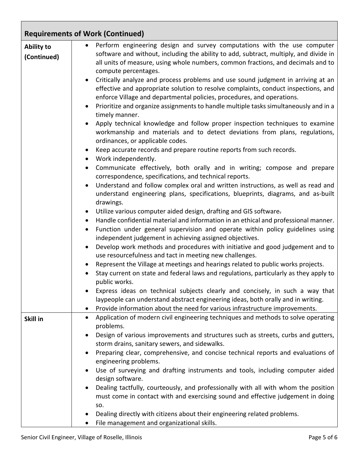|                                  | <b>Requirements of Work (Continued)</b>                                                                                                                                                                                                                                                                                                                                                                                                                                                                                                                                                                                                                                                                                                                                                                                                                                                                                                                                                                                                                                                                                                                                                                                                                                                                                                                                                                                                                                                                                                                                                                                                                                                                                                                                                                                                                                                                                                                                                                                                                                                                                                                                                                                                                                                                          |
|----------------------------------|------------------------------------------------------------------------------------------------------------------------------------------------------------------------------------------------------------------------------------------------------------------------------------------------------------------------------------------------------------------------------------------------------------------------------------------------------------------------------------------------------------------------------------------------------------------------------------------------------------------------------------------------------------------------------------------------------------------------------------------------------------------------------------------------------------------------------------------------------------------------------------------------------------------------------------------------------------------------------------------------------------------------------------------------------------------------------------------------------------------------------------------------------------------------------------------------------------------------------------------------------------------------------------------------------------------------------------------------------------------------------------------------------------------------------------------------------------------------------------------------------------------------------------------------------------------------------------------------------------------------------------------------------------------------------------------------------------------------------------------------------------------------------------------------------------------------------------------------------------------------------------------------------------------------------------------------------------------------------------------------------------------------------------------------------------------------------------------------------------------------------------------------------------------------------------------------------------------------------------------------------------------------------------------------------------------|
| <b>Ability to</b><br>(Continued) | Perform engineering design and survey computations with the use computer<br>software and without, including the ability to add, subtract, multiply, and divide in<br>all units of measure, using whole numbers, common fractions, and decimals and to<br>compute percentages.<br>Critically analyze and process problems and use sound judgment in arriving at an<br>effective and appropriate solution to resolve complaints, conduct inspections, and<br>enforce Village and departmental policies, procedures, and operations.<br>Prioritize and organize assignments to handle multiple tasks simultaneously and in a<br>$\bullet$<br>timely manner.<br>Apply technical knowledge and follow proper inspection techniques to examine<br>workmanship and materials and to detect deviations from plans, regulations,<br>ordinances, or applicable codes.<br>Keep accurate records and prepare routine reports from such records.<br>$\bullet$<br>Work independently.<br>$\bullet$<br>Communicate effectively, both orally and in writing; compose and prepare<br>$\bullet$<br>correspondence, specifications, and technical reports.<br>Understand and follow complex oral and written instructions, as well as read and<br>$\bullet$<br>understand engineering plans, specifications, blueprints, diagrams, and as-built<br>drawings.<br>Utilize various computer aided design, drafting and GIS software-<br>$\bullet$<br>Handle confidential material and information in an ethical and professional manner.<br>$\bullet$<br>Function under general supervision and operate within policy guidelines using<br>$\bullet$<br>independent judgement in achieving assigned objectives.<br>Develop work methods and procedures with initiative and good judgement and to<br>$\bullet$<br>use resourcefulness and tact in meeting new challenges.<br>Represent the Village at meetings and hearings related to public works projects.<br>Stay current on state and federal laws and regulations, particularly as they apply to<br>public works.<br>Express ideas on technical subjects clearly and concisely, in such a way that<br>laypeople can understand abstract engineering ideas, both orally and in writing.<br>Provide information about the need for various infrastructure improvements.<br>$\bullet$ |
| Skill in                         | Application of modern civil engineering techniques and methods to solve operating<br>$\bullet$<br>problems.<br>Design of various improvements and structures such as streets, curbs and gutters,<br>$\bullet$<br>storm drains, sanitary sewers, and sidewalks.<br>Preparing clear, comprehensive, and concise technical reports and evaluations of<br>٠<br>engineering problems.                                                                                                                                                                                                                                                                                                                                                                                                                                                                                                                                                                                                                                                                                                                                                                                                                                                                                                                                                                                                                                                                                                                                                                                                                                                                                                                                                                                                                                                                                                                                                                                                                                                                                                                                                                                                                                                                                                                                 |
|                                  | Use of surveying and drafting instruments and tools, including computer aided<br>$\bullet$<br>design software.<br>Dealing tactfully, courteously, and professionally with all with whom the position<br>$\bullet$<br>must come in contact with and exercising sound and effective judgement in doing<br>SO.<br>Dealing directly with citizens about their engineering related problems.<br>File management and organizational skills.                                                                                                                                                                                                                                                                                                                                                                                                                                                                                                                                                                                                                                                                                                                                                                                                                                                                                                                                                                                                                                                                                                                                                                                                                                                                                                                                                                                                                                                                                                                                                                                                                                                                                                                                                                                                                                                                            |